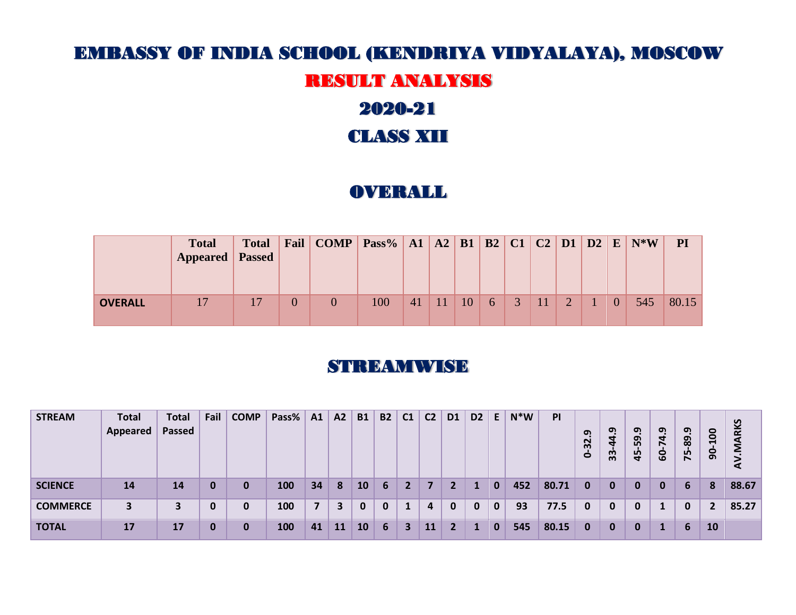# EMBASSY OF INDIA SCHOOL (KENDRIYA VIDYALAYA), MOSCOW

# RESULT ANALYSIS

# 2020-21

## CLASS XII

## **OVERALL**

|                | <b>Total</b><br><b>Appeared</b> Passed | <b>Total</b> | Fail           |     |    |    |  |               |              |     | PI    |
|----------------|----------------------------------------|--------------|----------------|-----|----|----|--|---------------|--------------|-----|-------|
| <b>OVERALL</b> |                                        |              | $\overline{0}$ | 100 | 41 | 10 |  | $\mathcal{D}$ | $\mathbf{0}$ | 545 | 80.15 |

#### **STREAMWISE**

| <b>STREAM</b>   | <b>Total</b><br>Appeared | <b>Total</b><br>Passed | Fail | <b>COMP</b> | Pass% | A1 | A2 | <b>B1</b> | <b>B2</b>    | C <sub>1</sub> | C <sub>2</sub> | D <sub>1</sub> | D <sub>2</sub> | E           | $N^*W$ | PI    | ຸດ $\overline{a}$<br>32<br>$\bullet$ | ள<br>4<br>d<br>33 | <u>ด</u><br>59.<br>45 | $\sigma$<br>$\mathbf{d}$<br><b>GO</b> | <u>ာ့</u><br>$-89$<br>75 | $-100$<br>$\overline{9}$ | V.MARKS<br>⋖ |
|-----------------|--------------------------|------------------------|------|-------------|-------|----|----|-----------|--------------|----------------|----------------|----------------|----------------|-------------|--------|-------|--------------------------------------|-------------------|-----------------------|---------------------------------------|--------------------------|--------------------------|--------------|
| <b>SCIENCE</b>  | 14                       | 14                     | 0    | 0           | 100   | 34 | 8  | <b>10</b> | 6            | 2              |                | 2              |                | 0           | 452    | 80.71 | 0                                    | 0                 | $\bf{0}$              | 0                                     | 6                        | 8                        | 88.67        |
| <b>COMMERCE</b> |                          |                        | 0    | 0           | 100   | 7  | 3  | 0         | $\mathbf{0}$ |                | $\overline{4}$ | $\bf{0}$       | 0              | $\mathbf 0$ | 93     | 77.5  | 0                                    | 0                 | 0                     |                                       | 0                        |                          | 85.27        |
| <b>TOTAL</b>    | 17                       | 17                     | 0    | 0           | 100   | 41 | 11 | 10        | 6            | 3              | 11             | $\mathbf{2}$   |                | 0           | 545    | 80.15 | 0                                    | 0                 | $\bf{0}$              |                                       | 6                        | <b>10</b>                |              |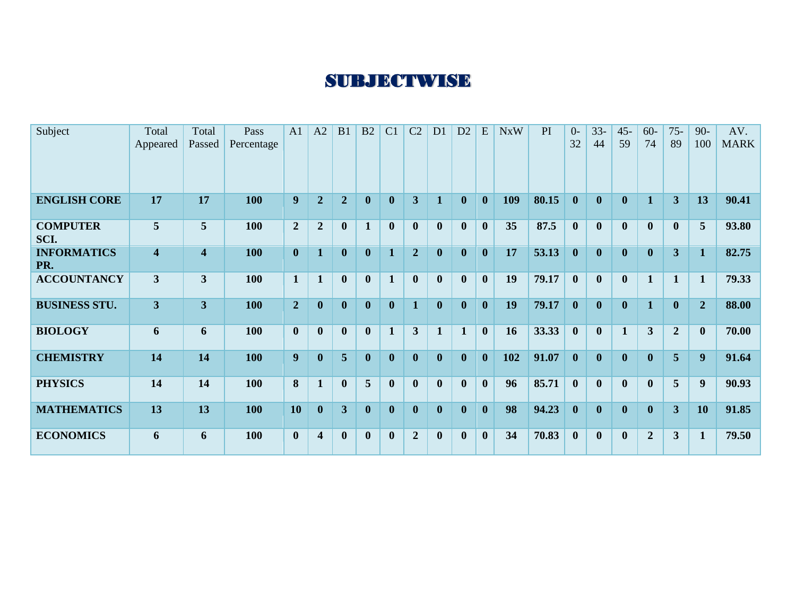# **SUBJECTWISE**

| Subject                   | Total<br>Appeared       | Total<br>Passed         | Pass<br>Percentage | A1               | A2                      | B1             | B2               | C <sub>1</sub> | C <sub>2</sub> | D <sub>1</sub> | D2           | E                | <b>NxW</b> | PI    | $\Omega$<br>32 | $33 -$<br>44 | $45 -$<br>59 | $60 -$<br>74     | $75 -$<br>89            | $90 -$<br>100    | AV.<br><b>MARK</b> |
|---------------------------|-------------------------|-------------------------|--------------------|------------------|-------------------------|----------------|------------------|----------------|----------------|----------------|--------------|------------------|------------|-------|----------------|--------------|--------------|------------------|-------------------------|------------------|--------------------|
| <b>ENGLISH CORE</b>       | 17                      | 17                      | 100                | 9                | $\overline{2}$          | $\overline{2}$ | $\boldsymbol{0}$ | $\mathbf{0}$   | 3              |                | $\mathbf{0}$ | $\boldsymbol{0}$ | 109        | 80.15 | $\mathbf{0}$   | $\mathbf{0}$ | $\mathbf{0}$ | $\mathbf{1}$     | $\overline{3}$          | 13               | 90.41              |
| <b>COMPUTER</b><br>SCI.   | 5 <sup>5</sup>          | $5\overline{)}$         | 100                | $\overline{2}$   | $\overline{2}$          | $\bf{0}$       | $\mathbf{1}$     | $\mathbf{0}$   | $\mathbf{0}$   | $\mathbf{0}$   | $\bf{0}$     | $\mathbf{0}$     | 35         | 87.5  | $\mathbf{0}$   | $\mathbf{0}$ | $\mathbf{0}$ | $\mathbf{0}$     | $\mathbf{0}$            | 5                | 93.80              |
| <b>INFORMATICS</b><br>PR. | $\overline{\mathbf{4}}$ | $\overline{\mathbf{4}}$ | 100                | $\bf{0}$         | $\mathbf{1}$            | $\bf{0}$       | $\boldsymbol{0}$ | $\mathbf{1}$   | $\overline{2}$ | $\mathbf{0}$   | $\mathbf{0}$ | $\mathbf{0}$     | 17         | 53.13 | $\mathbf{0}$   | $\mathbf{0}$ | $\mathbf{0}$ | $\boldsymbol{0}$ | $\overline{3}$          | $\mathbf{1}$     | 82.75              |
| <b>ACCOUNTANCY</b>        | $\mathbf{3}$            | $\overline{\mathbf{3}}$ | 100                | $\mathbf{1}$     | $\mathbf{1}$            | $\mathbf{0}$   | $\mathbf{0}$     | $\mathbf{1}$   | $\bf{0}$       | $\mathbf{0}$   | $\bf{0}$     | $\mathbf{0}$     | 19         | 79.17 | $\mathbf{0}$   | $\mathbf{0}$ | $\mathbf{0}$ | $\mathbf{1}$     | $\mathbf{1}$            | $\mathbf{1}$     | 79.33              |
| <b>BUSINESS STU.</b>      | $\overline{3}$          | $\overline{3}$          | 100                | $\overline{2}$   | $\mathbf{0}$            | $\bf{0}$       | $\boldsymbol{0}$ | $\mathbf{0}$   | $\mathbf{1}$   | $\mathbf{0}$   | $\mathbf{0}$ | $\mathbf{0}$     | 19         | 79.17 | $\mathbf{0}$   | $\mathbf{0}$ | $\mathbf{0}$ | $\mathbf{1}$     | $\mathbf{0}$            | $\overline{2}$   | 88.00              |
| <b>BIOLOGY</b>            | 6                       | 6                       | 100                | $\mathbf{0}$     | $\mathbf{0}$            | $\mathbf{0}$   | $\mathbf{0}$     | $\mathbf{1}$   | $\overline{3}$ | $\mathbf{1}$   | $\mathbf{1}$ | $\mathbf{0}$     | 16         | 33.33 | $\mathbf{0}$   | $\mathbf{0}$ | $\mathbf{1}$ | 3                | $\overline{2}$          | $\mathbf{0}$     | 70.00              |
| <b>CHEMISTRY</b>          | 14                      | 14                      | 100                | $\boldsymbol{9}$ | $\boldsymbol{0}$        | 5 <sup>5</sup> | $\mathbf{0}$     | $\mathbf{0}$   | $\mathbf{0}$   | $\mathbf{0}$   | $\mathbf{0}$ | $\bf{0}$         | 102        | 91.07 | $\mathbf{0}$   | $\mathbf{0}$ | $\mathbf{0}$ | $\mathbf{0}$     | 5 <sup>5</sup>          | $\boldsymbol{9}$ | 91.64              |
| <b>PHYSICS</b>            | 14                      | 14                      | 100                | 8                | $\mathbf{1}$            | $\mathbf{0}$   | 5                | $\mathbf{0}$   | $\mathbf{0}$   | $\mathbf{0}$   | $\mathbf{0}$ | $\mathbf{0}$     | 96         | 85.71 | $\mathbf{0}$   | $\mathbf{0}$ | $\mathbf{0}$ | $\mathbf{0}$     | $\overline{5}$          | $\boldsymbol{9}$ | 90.93              |
| <b>MATHEMATICS</b>        | 13                      | 13                      | 100                | 10               | $\mathbf{0}$            | 3 <sup>1</sup> | $\mathbf{0}$     | $\mathbf{0}$   | $\bf{0}$       | $\mathbf{0}$   | $\mathbf{0}$ | $\mathbf{0}$     | 98         | 94.23 | $\mathbf{0}$   | $\mathbf{0}$ | $\mathbf{0}$ | $\mathbf{0}$     | $\overline{3}$          | 10               | 91.85              |
| <b>ECONOMICS</b>          | 6                       | 6                       | <b>100</b>         | $\mathbf{0}$     | $\overline{\mathbf{4}}$ | $\bf{0}$       | $\mathbf{0}$     | $\mathbf{0}$   | $\overline{2}$ | $\mathbf{0}$   | $\bf{0}$     | $\mathbf{0}$     | 34         | 70.83 | $\mathbf{0}$   | $\mathbf{0}$ | $\mathbf{0}$ | $\overline{2}$   | $\overline{\mathbf{3}}$ | $\mathbf{1}$     | 79.50              |